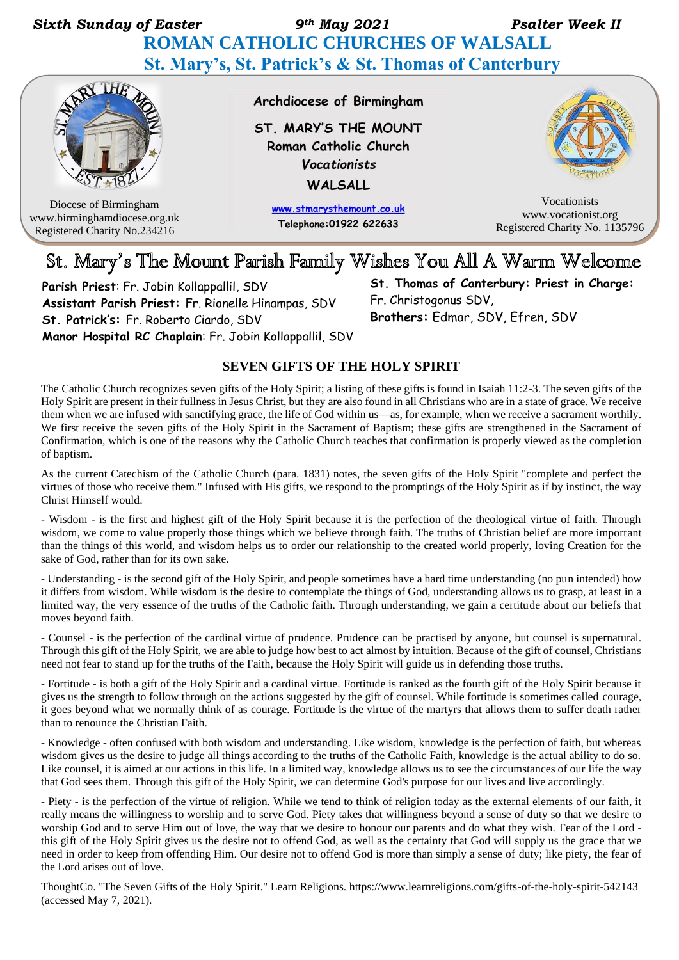*Sixth Sunday of Easter 9th May 2021 Psalter Week II*   **ROMAN CATHOLIC CHURCHES OF WALSALL St. Mary's, St. Patrick's & St. Thomas of Canterbury**



Diocese of Birmingham www.birminghamdiocese.org.uk Registered Charity No.234216

Archdiocese of Birmingham

ST. MARY'S THE MOUNT Roman Catholic Church Vocationists WALSALL

> www.stmarysthemount.co.uk Telephone: 01922 622633



Vocationists www.vocationist.org Registered Charity No. 1135796

## St. Mary's The Mount Parish Family Wishes You All A Warm Welcome

**Parish Priest**: Fr. Jobin Kollappallil, SDV **Assistant Parish Priest:** Fr. Rionelle Hinampas, SDV **St. Patrick's:** Fr. Roberto Ciardo, SDV **Manor Hospital RC Chaplain**: Fr. Jobin Kollappallil, SDV **St. Thomas of Canterbury: Priest in Charge:**  Fr. Christogonus SDV, **Brothers:** Edmar, SDV, Efren, SDV

### **SEVEN GIFTS OF THE HOLY SPIRIT**

The Catholic Church recognizes seven gifts of the Holy Spirit; a listing of these gifts is found in Isaiah 11:2-3. The seven gifts of the Holy Spirit are present in their fullness in Jesus Christ, but they are also found in all Christians who are in a state of grace. We receive them when we are infused with sanctifying grace, the life of God within us—as, for example, when we receive a sacrament worthily. We first receive the seven gifts of the Holy Spirit in the Sacrament of Baptism; these gifts are strengthened in the Sacrament of Confirmation, which is one of the reasons why the Catholic Church teaches that confirmation is properly viewed as the completion of baptism.

As the current Catechism of the Catholic Church (para. 1831) notes, the seven gifts of the Holy Spirit "complete and perfect the virtues of those who receive them." Infused with His gifts, we respond to the promptings of the Holy Spirit as if by instinct, the way beChrist Himself would.

- Wisdom - is the first and highest gift of the Holy Spirit because it is the perfection of the theological virtue of faith. Through wisdom, we come to value properly those things which we believe through faith. The truths of Christian belief are more important than the things of this world, and wisdom helps us to order our relationship to the created world properly, loving Creation for the sake of God, rather than for its own sake.

- Understanding - is the second gift of the Holy Spirit, and people sometimes have a hard time understanding (no pun intended) how it differs from wisdom. While wisdom is the desire to contemplate the things of God, understanding allows us to grasp, at least in a limited way, the very essence of the truths of the Catholic faith. Through understanding, we gain a certitude about our beliefs that moves beyond faith.

- Counsel - is the perfection of the cardinal virtue of prudence. Prudence can be practised by anyone, but counsel is supernatural. Through this gift of the Holy Spirit, we are able to judge how best to act almost by intuition. Because of the gift of counsel, Christians need not fear to stand up for the truths of the Faith, because the Holy Spirit will guide us in defending those truths.

- Fortitude - is both a gift of the Holy Spirit and a cardinal virtue. Fortitude is ranked as the fourth gift of the Holy Spirit because it gives us the strength to follow through on the actions suggested by the gift of counsel. While fortitude is sometimes called courage, it goes beyond what we normally think of as courage. Fortitude is the virtue of the martyrs that allows them to suffer death rather than to renounce the Christian Faith.

- Knowledge - often confused with both wisdom and understanding. Like wisdom, knowledge is the perfection of faith, but whereas wisdom gives us the desire to judge all things according to the truths of the Catholic Faith, knowledge is the actual ability to do so. Like counsel, it is aimed at our actions in this life. In a limited way, knowledge allows us to see the circumstances of our life the way that God sees them. Through this gift of the Holy Spirit, we can determine God's purpose for our lives and live accordingly.

- Piety - is the perfection of the virtue of religion. While we tend to think of religion today as the external elements of our faith, it really means the willingness to worship and to serve God. Piety takes that willingness beyond a sense of duty so that we desire to worship God and to serve Him out of love, the way that we desire to honour our parents and do what they wish. Fear of the Lord this gift of the Holy Spirit gives us the desire not to offend God, as well as the certainty that God will supply us the grace that we need in order to keep from offending Him. Our desire not to offend God is more than simply a sense of duty; like piety, the fear of the Lord arises out of love.

ThoughtCo. "The Seven Gifts of the Holy Spirit." Learn Religions. https://www.learnreligions.com/gifts-of-the-holy-spirit-542143 (accessed May 7, 2021).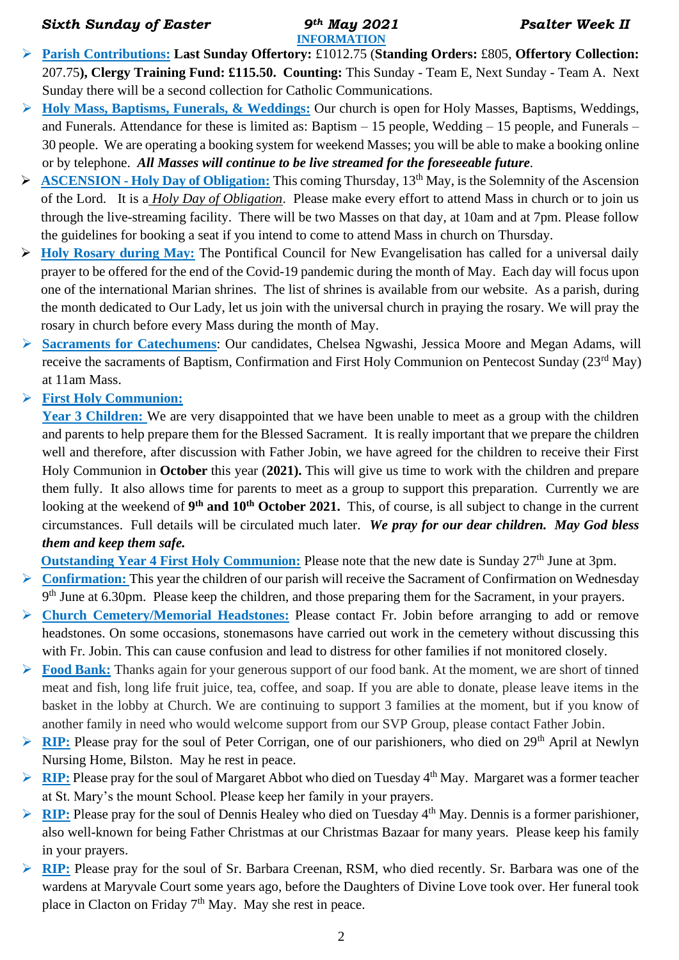#### *Sixth Sunday of Easter 9th May 2021 Psalter Week II*

# **INFORMATION**

- ➢ **Parish Contributions: Last Sunday Offertory:** £1012.75 (**Standing Orders:** £805, **Offertory Collection:** 207.75**), Clergy Training Fund: £115.50. Counting:** This Sunday - Team E, Next Sunday - Team A. Next Sunday there will be a second collection for Catholic Communications.
- ➢ **Holy Mass, Baptisms, Funerals, & Weddings:** Our church is open for Holy Masses, Baptisms, Weddings, and Funerals. Attendance for these is limited as: Baptism – 15 people, Wedding – 15 people, and Funerals – 30 people. We are operating a booking system for weekend Masses; you will be able to make a booking online or by telephone. *All Masses will continue to be live streamed for the foreseeable future.*
- ➢ **ASCENSION - Holy Day of Obligation:** This coming Thursday, 13th May, is the Solemnity of the Ascension of the Lord. It is a *Holy Day of Obligation*. Please make every effort to attend Mass in church or to join us through the live-streaming facility. There will be two Masses on that day, at 10am and at 7pm. Please follow the guidelines for booking a seat if you intend to come to attend Mass in church on Thursday.
- ➢ **Holy Rosary during May:** The Pontifical Council for New Evangelisation has called for a universal daily prayer to be offered for the end of the Covid-19 pandemic during the month of May. Each day will focus upon one of the international Marian shrines. The list of shrines is available from our website. As a parish, during the month dedicated to Our Lady, let us join with the universal church in praying the rosary. We will pray the rosary in church before every Mass during the month of May.
- ➢ **Sacraments for Catechumens**: Our candidates, Chelsea Ngwashi, Jessica Moore and Megan Adams, will receive the sacraments of Baptism, Confirmation and First Holy Communion on Pentecost Sunday (23<sup>rd</sup> May) at 11am Mass.
- ➢ **First Holy Communion:**

Year 3 Children: We are very disappointed that we have been unable to meet as a group with the children and parents to help prepare them for the Blessed Sacrament. It is really important that we prepare the children well and therefore, after discussion with Father Jobin, we have agreed for the children to receive their First Holy Communion in **October** this year (**2021).** This will give us time to work with the children and prepare them fully. It also allows time for parents to meet as a group to support this preparation. Currently we are looking at the weekend of 9<sup>th</sup> and 10<sup>th</sup> October 2021. This, of course, is all subject to change in the current circumstances. Full details will be circulated much later. *We pray for our dear children. May God bless them and keep them safe.*

**Outstanding Year 4 First Holy Communion:** Please note that the new date is Sunday 27<sup>th</sup> June at 3pm.

- ➢ **Confirmation:** This year the children of our parish will receive the Sacrament of Confirmation on Wednesday 9<sup>th</sup> June at 6.30pm. Please keep the children, and those preparing them for the Sacrament, in your prayers.
- ➢ **Church Cemetery/Memorial Headstones:** Please contact Fr. Jobin before arranging to add or remove headstones. On some occasions, stonemasons have carried out work in the cemetery without discussing this with Fr. Jobin. This can cause confusion and lead to distress for other families if not monitored closely.
- ➢ **Food Bank:** Thanks again for your generous support of our food bank. At the moment, we are short of tinned meat and fish, long life fruit juice, tea, coffee, and soap. If you are able to donate, please leave items in the basket in the lobby at Church. We are continuing to support 3 families at the moment, but if you know of another family in need who would welcome support from our SVP Group, please contact Father Jobin.
- ➢ **RIP:** Please pray for the soul of Peter Corrigan, one of our parishioners, who died on 29th April at Newlyn Nursing Home, Bilston. May he rest in peace.
- ➢ **RIP:** Please pray for the soul of Margaret Abbot who died on Tuesday 4th May. Margaret was a former teacher at St. Mary's the mount School. Please keep her family in your prayers.
- ➢ **RIP:** Please pray for the soul of Dennis Healey who died on Tuesday 4th May. Dennis is a former parishioner, also well-known for being Father Christmas at our Christmas Bazaar for many years. Please keep his family in your prayers.
- ➢ **RIP:** Please pray for the soul of Sr. Barbara Creenan, RSM, who died recently. Sr. Barbara was one of the wardens at Maryvale Court some years ago, before the Daughters of Divine Love took over. Her funeral took place in Clacton on Friday  $7<sup>th</sup>$  May. May she rest in peace.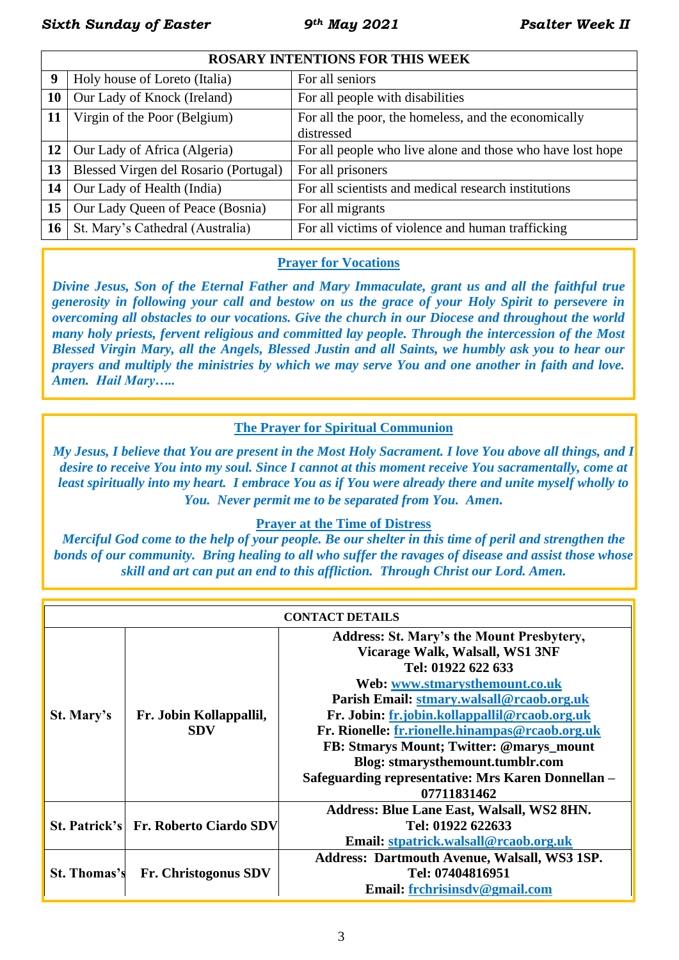**ROSARY INTENTIONS FOR THIS WEEK**

| Holy house of Loreto (Italia)                            | For all seniors                                            |  |  |
|----------------------------------------------------------|------------------------------------------------------------|--|--|
| Our Lady of Knock (Ireland)                              | For all people with disabilities                           |  |  |
| Virgin of the Poor (Belgium)                             | For all the poor, the homeless, and the economically       |  |  |
|                                                          | distressed                                                 |  |  |
| Our Lady of Africa (Algeria)<br>12 <sup>1</sup>          | For all people who live alone and those who have lost hope |  |  |
| 13 <sup>1</sup><br>Blessed Virgen del Rosario (Portugal) | For all prisoners                                          |  |  |
| Our Lady of Health (India)                               | For all scientists and medical research institutions       |  |  |
| Our Lady Queen of Peace (Bosnia)                         | For all migrants                                           |  |  |
| St. Mary's Cathedral (Australia)                         | For all victims of violence and human trafficking          |  |  |
|                                                          |                                                            |  |  |

## **Prayer for Vocations**

*Divine Jesus, Son of the Eternal Father and Mary Immaculate, grant us and all the faithful true generosity in following your call and bestow on us the grace of your Holy Spirit to persevere in overcoming all obstacles to our vocations. Give the church in our Diocese and throughout the world many holy priests, fervent religious and committed lay people. Through the intercession of the Most Blessed Virgin Mary, all the Angels, Blessed Justin and all Saints, we humbly ask you to hear our prayers and multiply the ministries by which we may serve You and one another in faith and love. Amen. Hail Mary…..*

### **The Prayer for Spiritual Communion**

*My Jesus, I believe that You are present in the Most Holy Sacrament. I love You above all things, and I desire to receive You into my soul. Since I cannot at this moment receive You sacramentally, come at least spiritually into my heart. I embrace You as if You were already there and unite myself wholly to You. Never permit me to be separated from You. Amen.*

### **Prayer at the Time of Distress**

*Merciful God come to the help of your people. Be our shelter in this time of peril and strengthen the bonds of our community.**Bring healing to all who suffer the ravages of disease and assist those whose skill and art can put an end to this affliction.**Through Christ our Lord. Amen.*

| <b>CONTACT DETAILS</b> |                                       |                                                     |  |  |  |
|------------------------|---------------------------------------|-----------------------------------------------------|--|--|--|
| St. Mary's             | Fr. Jobin Kollappallil,<br><b>SDV</b> | Address: St. Mary's the Mount Presbytery,           |  |  |  |
|                        |                                       | Vicarage Walk, Walsall, WS1 3NF                     |  |  |  |
|                        |                                       | Tel: 01922 622 633                                  |  |  |  |
|                        |                                       | Web: www.stmarysthemount.co.uk                      |  |  |  |
|                        |                                       | Parish Email: stmary.walsall@rcaob.org.uk           |  |  |  |
|                        |                                       | Fr. Jobin: fr.jobin.kollappallil@rcaob.org.uk       |  |  |  |
|                        |                                       | Fr. Rionelle: fr.rionelle.hinampas@rcaob.org.uk     |  |  |  |
|                        |                                       | FB: Stmarys Mount; Twitter: @marys_mount            |  |  |  |
|                        |                                       | Blog: stmarysthemount.tumblr.com                    |  |  |  |
|                        |                                       | Safeguarding representative: Mrs Karen Donnellan -  |  |  |  |
|                        |                                       | 07711831462                                         |  |  |  |
|                        | St. Patrick's Fr. Roberto Ciardo SDV  | Address: Blue Lane East, Walsall, WS2 8HN.          |  |  |  |
|                        |                                       | Tel: 01922 622633                                   |  |  |  |
|                        |                                       | Email: stpatrick.walsall@rcaob.org.uk               |  |  |  |
| <b>St. Thomas's</b>    | <b>Fr. Christogonus SDV</b>           | <b>Address: Dartmouth Avenue, Walsall, WS3 1SP.</b> |  |  |  |
|                        |                                       | Tel: 07404816951                                    |  |  |  |
|                        |                                       | Email: frchrisinsdv@gmail.com                       |  |  |  |